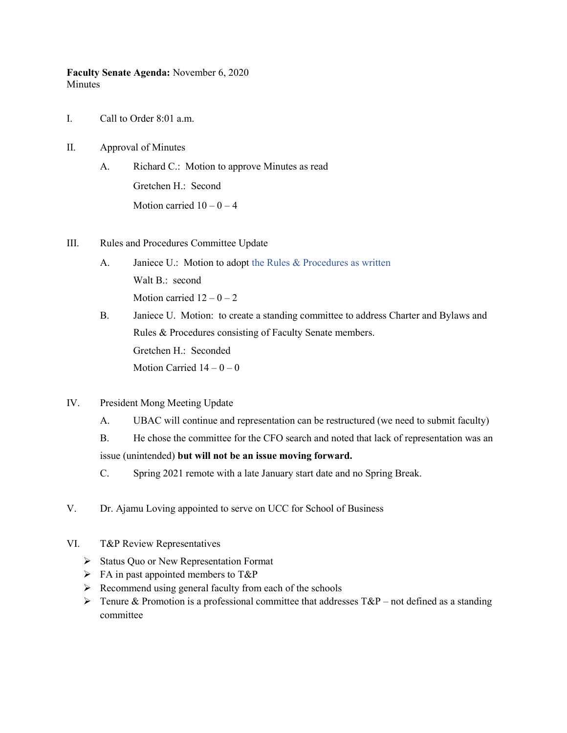Faculty Senate Agenda: November 6, 2020 **Minutes** 

- I. Call to Order 8:01 a.m.
- II. Approval of Minutes
	- A. Richard C.: Motion to approve Minutes as read Gretchen H.: Second Motion carried  $10 - 0 - 4$
- III. Rules and Procedures Committee Update
	- A. Janiece U.: Motion to adopt the Rules & Procedures as written Walt B.: second Motion carried  $12 - 0 - 2$
	- B. Janiece U. Motion: to create a standing committee to address Charter and Bylaws and Rules & Procedures consisting of Faculty Senate members. Gretchen H.: Seconded Motion Carried  $14 - 0 - 0$
- IV. President Mong Meeting Update
	- A. UBAC will continue and representation can be restructured (we need to submit faculty)
	- B. He chose the committee for the CFO search and noted that lack of representation was an issue (unintended) but will not be an issue moving forward.
	- C. Spring 2021 remote with a late January start date and no Spring Break.
- V. Dr. Ajamu Loving appointed to serve on UCC for School of Business
- VI. T&P Review Representatives
	- $\triangleright$  Status Quo or New Representation Format
	- $\triangleright$  FA in past appointed members to T&P
	- $\triangleright$  Recommend using general faculty from each of the schools
	- $\triangleright$  Tenure & Promotion is a professional committee that addresses T&P not defined as a standing committee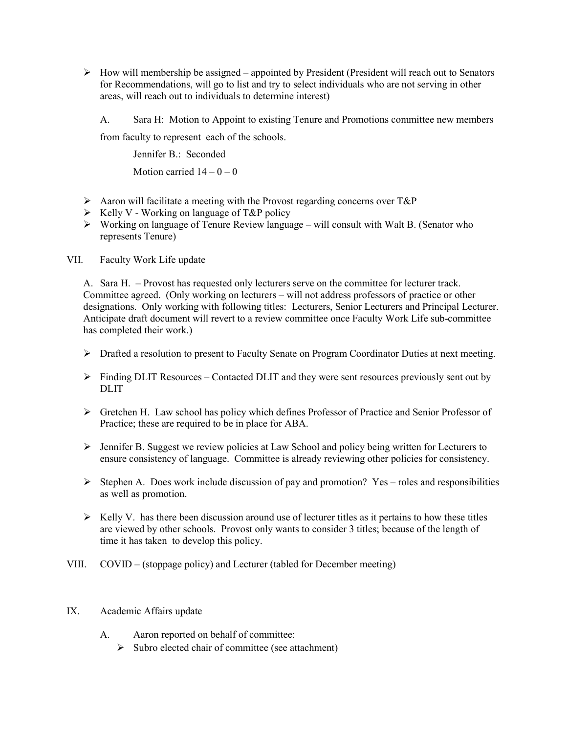- $\triangleright$  How will membership be assigned appointed by President (President will reach out to Senators for Recommendations, will go to list and try to select individuals who are not serving in other areas, will reach out to individuals to determine interest)
	- A. Sara H: Motion to Appoint to existing Tenure and Promotions committee new members

from faculty to represent each of the schools.

 Jennifer B.: Seconded Motion carried  $14 - 0 - 0$ 

- Aaron will facilitate a meeting with the Provost regarding concerns over  $T\&P$
- $\triangleright$  Kelly V Working on language of T&P policy
- $\triangleright$  Working on language of Tenure Review language will consult with Walt B. (Senator who represents Tenure)
- VII. Faculty Work Life update

A. Sara H. – Provost has requested only lecturers serve on the committee for lecturer track. Committee agreed. (Only working on lecturers – will not address professors of practice or other designations. Only working with following titles: Lecturers, Senior Lecturers and Principal Lecturer. Anticipate draft document will revert to a review committee once Faculty Work Life sub-committee has completed their work.)

- $\triangleright$  Drafted a resolution to present to Faculty Senate on Program Coordinator Duties at next meeting.
- Finding DLIT Resources Contacted DLIT and they were sent resources previously sent out by DLIT
- Gretchen H. Law school has policy which defines Professor of Practice and Senior Professor of Practice; these are required to be in place for ABA.
- $\triangleright$  Jennifer B. Suggest we review policies at Law School and policy being written for Lecturers to ensure consistency of language. Committee is already reviewing other policies for consistency.
- $\triangleright$  Stephen A. Does work include discussion of pay and promotion? Yes roles and responsibilities as well as promotion.
- $\triangleright$  Kelly V. has there been discussion around use of lecturer titles as it pertains to how these titles are viewed by other schools. Provost only wants to consider 3 titles; because of the length of time it has taken to develop this policy.
- VIII. COVID (stoppage policy) and Lecturer (tabled for December meeting)
- IX. Academic Affairs update
	- A. Aaron reported on behalf of committee:
		- $\triangleright$  Subro elected chair of committee (see attachment)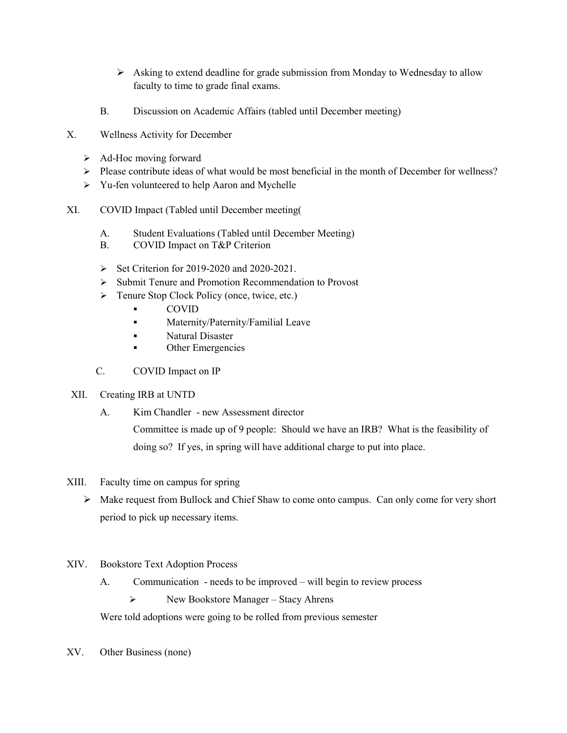- $\triangleright$  Asking to extend deadline for grade submission from Monday to Wednesday to allow faculty to time to grade final exams.
- B. Discussion on Academic Affairs (tabled until December meeting)
- X. Wellness Activity for December
	- $\triangleright$  Ad-Hoc moving forward
	- $\triangleright$  Please contribute ideas of what would be most beneficial in the month of December for wellness?
	- > Yu-fen volunteered to help Aaron and Mychelle
- XI. COVID Impact (Tabled until December meeting(
	- A. Student Evaluations (Tabled until December Meeting)
	- B. COVID Impact on T&P Criterion
	- $\triangleright$  Set Criterion for 2019-2020 and 2020-2021.
	- $\triangleright$  Submit Tenure and Promotion Recommendation to Provost
	- > Tenure Stop Clock Policy (once, twice, etc.)
		- COVID
		- **Maternity/Paternity/Familial Leave**
		- **Natural Disaster**
		- **C**ther Emergencies
	- C. COVID Impact on IP

## XII. Creating IRB at UNTD

A. Kim Chandler - new Assessment director

Committee is made up of 9 people: Should we have an IRB? What is the feasibility of doing so? If yes, in spring will have additional charge to put into place.

- XIII. Faculty time on campus for spring
	- $\triangleright$  Make request from Bullock and Chief Shaw to come onto campus. Can only come for very short period to pick up necessary items.
- XIV. Bookstore Text Adoption Process
	- A. Communication needs to be improved will begin to review process

 $\triangleright$  New Bookstore Manager – Stacy Ahrens

Were told adoptions were going to be rolled from previous semester

XV. Other Business (none)